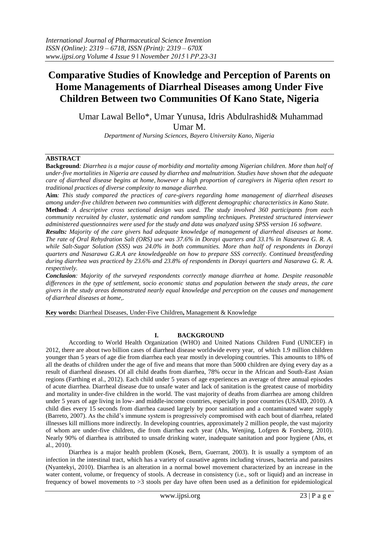# **Comparative Studies of Knowledge and Perception of Parents on Home Managements of Diarrheal Diseases among Under Five Children Between two Communities Of Kano State, Nigeria**

Umar Lawal Bello\*, Umar Yunusa, Idris Abdulrashid& Muhammad Umar M.

*Department of Nursing Sciences, Bayero University Kano, Nigeria*

# **ABSTRACT**

**Background***: Diarrhea is a major cause of morbidity and mortality among Nigerian children. More than half of under-five mortalities in Nigeria are caused by diarrhea and malnutrition. Studies have shown that the adequate care of diarrheal disease begins at home, however a high proportion of caregivers in Nigeria often resort to traditional practices of diverse complexity to manage diarrhea.* 

**Aim***: This study compared the practices of care-givers regarding home management of diarrheal diseases among under-five children between two communities with different demographic characteristics in Kano State.* 

**Method***: A descriptive cross sectional design was used. The study involved 360 participants from each community recruited by cluster, systematic and random sampling techniques. Pretested structured interviewer administered questionnaires were used for the study and data was analyzed using SPSS version 16 software.*

*Results: Majority of the care givers had adequate knowledge of management of diarrheal diseases at home. The rate of Oral Rehydration Salt (ORS) use was 37.6% in Dorayi quarters and 33.1% in Nasarawa G. R. A. while Salt-Sugar Solution (SSS) was 24.0% in both communities. More than half of respondents in Dorayi quarters and Nasarawa G.R.A are knowledgeable on how to prepare SSS correctly. Continued breastfeeding during diarrhea was practiced by 23.6% and 23.8% of respondents in Dorayi quarters and Nasarawa G. R. A. respectively.* 

*Conclusion: Majority of the surveyed respondents correctly manage diarrhea at home. Despite reasonable differences in the type of settlement, socio economic status and population between the study areas, the care givers in the study areas demonstrated nearly equal knowledge and perception on the causes and management of diarrheal diseases at home,.*

**Key words:** Diarrheal Diseases, Under-Five Children**,** Management & Knowledge

# **I. BACKGROUND**

According to World Health Organization (WHO) and United Nations Children Fund (UNICEF) in 2012, there are about two billion cases of diarrheal disease worldwide every year, of which 1.9 million children younger than 5 years of age die from diarrhea each year mostly in developing countries. This amounts to 18% of all the deaths of children under the age of five and means that more than 5000 children are dying every day as a result of diarrheal diseases. Of all child deaths from diarrhea, 78% occur in the African and South-East Asian regions (Farthing et al., 2012). Each child under 5 years of age experiences an average of three annual episodes of acute diarrhea. Diarrheal disease due to unsafe water and lack of sanitation is the greatest cause of morbidity and mortality in under-five children in the world. The vast majority of deaths from diarrhea are among children under 5 years of age living in low- and middle-income countries, especially in poor countries (USAID, 2010). A child dies every 15 seconds from diarrhea caused largely by poor sanitation and a contaminated water supply (Barreto, 2007). As the child's immune system is progressively compromised with each bout of diarrhea, related illnesses kill millions more indirectly. In developing countries, approximately 2 million people, the vast majority of whom are under-five children, die from diarrhea each year (Ahs, Wenjing, Lofgren & Forsberg, 2010). Nearly 90% of diarrhea is attributed to unsafe drinking water, inadequate sanitation and poor hygiene (Ahs, et al., 2010).

Diarrhea is a major health problem (Kosek, Bern, Guerrant, 2003). It is usually a symptom of an infection in the intestinal tract, which has a variety of causative agents including viruses, bacteria and parasites (Nyantekyi, 2010). Diarrhea is an alteration in a normal bowel movement characterized by an increase in the water content, volume, or frequency of stools. A decrease in consistency (i.e., soft or liquid) and an increase in frequency of bowel movements to >3 stools per day have often been used as a definition for epidemiological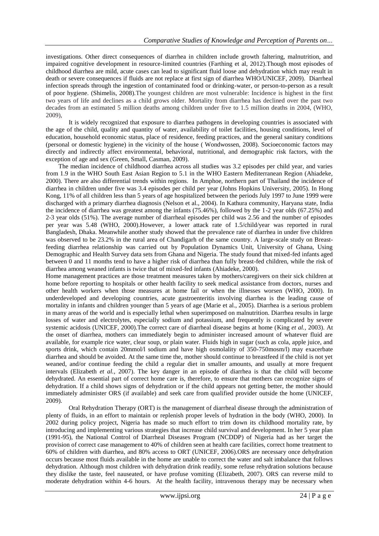investigations. Other direct consequences of diarrhea in children include growth faltering, malnutrition, and impaired cognitive development in resource-limited countries (Farthing et al, 2012).Though most episodes of childhood diarrhea are mild, acute cases can lead to significant fluid loose and dehydration which may result in death or severe consequences if fluids are not replace at first sign of diarrhea WHO/UNICEF, 2009). Diarrheal infection spreads through the ingestion of contaminated food or drinking-water, or person-to-person as a result of poor hygiene. (Shimelis, 2008).The youngest children are most vulnerable: Incidence is highest in the first two years of life and declines as a child grows older. Mortality from diarrhea has declined over the past two decades from an estimated 5 million deaths among children under five to 1.5 million deaths in 2004, (WHO, 2009),

It is widely recognized that exposure to diarrhea pathogens in developing countries is associated with the age of the child, quality and quantity of water, availability of toilet facilities, housing conditions, level of education, household economic status, place of residence, feeding practices, and the general sanitary conditions (personal or domestic hygiene) in the vicinity of the house ( Wondwossen, 2008). Socioeconomic factors may directly and indirectly affect environmental, behavioral, nutritional, and demographic risk factors, with the exception of age and sex (Green, Small, Casman, 2009).

The median incidence of childhood diarrhea across all studies was 3.2 episodes per child year, and varies from 1.9 in the WHO South East Asian Region to 5.1 in the WHO Eastern Mediterranean Region (Ahiadeke, 2000). There are also differential trends within regions. In Amphoe, northern part of Thailand the incidence of diarrhea in children under five was 3.4 episodes per child per year (Johns Hopkins University, 2005). In Hong Kong, 11% of all children less than 5 years of age hospitalized between the periods July 1997 to June 1999 were discharged with a primary diarrhea diagnosis (Nelson et al., 2004). In Kathura community, Haryana state, India the incidence of diarrhea was greatest among the infants (75.46%), followed by the 1-2 year olds (67.25%) and 2-3 year olds (51%). The average number of diarrheal episodes per child was 2.56 and the number of episodes per year was 5.48 (WHO, 2000).However, a lower attack rate of 1.5/child/year was reported in rural Bangladesh, Dhaka. Meanwhile another study showed that the prevalence rate of diarrhea in under five children was observed to be 23.2% in the rural area of Chandigarh of the same country. A large-scale study on Breastfeeding diarrhea relationship was carried out by Population Dynamics Unit, University of Ghana, Using Demographic and Health Survey data sets from Ghana and Nigeria. The study found that mixed-fed infants aged between 0 and 11 months tend to have a higher risk of diarrhea than fully breast-fed children, while the risk of diarrhea among weaned infants is twice that of mixed-fed infants (Ahiadeke, 2000).

Home management practices are those treatment measures taken by mothers/caregivers on their sick children at home before reporting to hospitals or other health facility to seek medical assistance from doctors, nurses and other health workers when those measures at home fail or when the illnesses worsen (WHO, 2000). In underdeveloped and developing countries, acute gastroenteritis involving diarrhea is the leading cause of mortality in infants and children younger than 5 years of age (Marie et al., 2005). Diarrhea is a serious problem in many areas of the world and is especially lethal when superimposed on malnutrition. Diarrhea results in large losses of water and electrolytes, especially sodium and potassium, and frequently is complicated by severe systemic acidosis (UNICEF, 2000).The correct care of diarrheal disease begins at home (King *et al.,* 2003). At the onset of diarrhea, mothers can immediately begin to administer increased amount of whatever fluid are available, for example rice water, clear soup, or plain water. Fluids high in sugar (such as cola, apple juice, and sports drink, which contain 20mmol/l sodium and have high osmolality of 350-750mosm/l) may exacerbate diarrhea and should be avoided. At the same time the, mother should continue to breastfeed if the child is not yet weaned, and/or continue feeding the child a regular diet in smaller amounts, and usually at more frequent intervals (Elizabeth *et al.,* 2007). The key danger in an episode of diarrhea is that the child will become dehydrated. An essential part of correct home care is, therefore, to ensure that mothers can recognize signs of dehydration. If a child shows signs of dehydration or if the child appears not getting better, the mother should immediately administer ORS (if available) and seek care from qualified provider outside the home (UNICEF, 2009).

Oral Rehydration Therapy (ORT) is the management of diarrheal disease through the administration of plenty of fluids, in an effort to maintain or replenish proper levels of hydration in the body (WHO, 2000). In 2002 during policy project, Nigeria has made so much effort to trim down its childhood mortality rate, by introducing and implementing various strategies that increase child survival and development. In her 5 year plan (1991-95), the National Control of Diarrheal Diseases Program (NCDDP) of Nigeria had as her target the provision of correct case management to 40% of children seen at health care facilities, correct home treatment to 60% of children with diarrhea, and 80% access to ORT (UNICEF, 2006).ORS are necessary once dehydration occurs because most fluids available in the home are unable to correct the water and salt imbalance that follows dehydration. Although most children with dehydration drink readily, some refuse rehydration solutions because they dislike the taste, feel nauseated, or have profuse vomiting (Elizabeth, 2007). ORS can reverse mild to moderate dehydration within 4-6 hours. At the health facility, intravenous therapy may be necessary when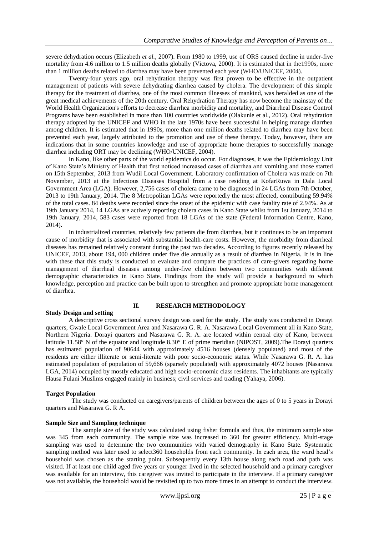severe dehydration occurs (Elizabeth *et al.,* 2007). From 1980 to 1999, use of ORS caused decline in under-five mortality from 4.6 million to 1.5 million deaths globally (Victova, 2000). It is estimated that in the1990s, more than 1 million deaths related to diarrhea may have been prevented each year (WHO/UNICEF, 2004).

Twenty-four years ago, oral rehydration therapy was first proven to be effective in the outpatient management of patients with severe dehydrating diarrhea caused by cholera. The development of this simple therapy for the treatment of diarrhea, one of the most common illnesses of mankind, was heralded as one of the great medical achievements of the 20th century. Oral Rehydration Therapy has now become the mainstay of the World Health Organization's efforts to decrease diarrhea morbidity and mortality, and Diarrheal Disease Control Programs have been established in more than 100 countries worldwide (Olakunle et al., 2012). Oral rehydration therapy adopted by the UNICEF and WHO in the late 1970s have been successful in helping manage diarrhea among children. It is estimated that in 1990s, more than one million deaths related to diarrhea may have been prevented each year, largely attributed to the promotion and use of these therapy. Today, however, there are indications that in some countries knowledge and use of appropriate home therapies to successfully manage diarrhea including ORT may be declining (WHO/UNICEF, 2004).

In Kano, like other parts of the world epidemics do occur. For diagnoses, it was the Epidemiology Unit of Kano State's Ministry of Health that first noticed increased cases of diarrhea and vomiting and those started on 15th September, 2013 from Wudil Local Government. Laboratory confirmation of Cholera was made on 7th November, 2013 at the Infectious Diseases Hospital from a case residing at KofarRuwa in Dala Local Government Area (LGA). However, 2,756 cases of cholera came to be diagnosed in 24 LGAs from 7th October, 2013 to 19th January, 2014. The 8 Metropolitan LGAs were reportedly the most affected, contributing 59.94% of the total cases. 84 deaths were recorded since the onset of the epidemic with case fatality rate of 2.94%. As at 19th January 2014, 14 LGAs are actively reporting cholera cases in Kano State whilst from 1st January, 2014 to 19th January, 2014, 583 cases were reported from 18 LGAs of the state **(**Federal Information Centre, Kano, 2014)**.**

In industrialized countries, relatively few patients die from diarrhea, but it continues to be an important cause of morbidity that is associated with substantial health-care costs. However, the morbidity from diarrheal diseases has remained relatively constant during the past two decades. According to figures recently released by UNICEF, 2013, about 194, 000 children under five die annually as a result of diarrhea in Nigeria. It is in line with these that this study is conducted to evaluate and compare the practices of care-givers regarding home management of diarrheal diseases among under-five children between two communities with different demographic characteristics in Kano State. Findings from the study will provide a background to which knowledge, perception and practice can be built upon to strengthen and promote appropriate home management of diarrhea.

### **II. RESEARCH METHODOLOGY**

#### **Study Design and setting**

A descriptive cross sectional survey design was used for the study. The study was conducted in Dorayi quarters, Gwale Local Government Area and Nasarawa G. R. A. Nasarawa Local Government all in Kano State, Northern Nigeria. Dorayi quarters and Nasarawa G. R. A. are located within central city of Kano, between latitude 11.58° N of the equator and longitude 8.30° E of prime meridian (NIPOST, 2009).The Dorayi quarters has estimated population of 90644 with approximately 4516 houses (densely populated) and most of the residents are either illiterate or semi-literate with poor socio-economic status. While Nasarawa G. R. A. has estimated population of population of 59,666 (sparsely populated) with approximately 4072 houses (Nasarawa LGA, 2014) occupied by mostly educated and high socio-economic class residents. The inhabitants are typically Hausa Fulani Muslims engaged mainly in business; civil services and trading (Yahaya, 2006).

# **Target Population**

The study was conducted on caregivers/parents of children between the ages of 0 to 5 years in Dorayi quarters and Nasarawa G. R A.

## **Sample Size and Sampling technique**

The sample size of the study was calculated using fisher formula and thus, the minimum sample size was 345 from each community. The sample size was increased to 360 for greater efficiency. Multi-stage sampling was used to determine the two communities with varied demography in Kano State. Systematic sampling method was later used to select360 households from each community. In each area, the ward head's household was chosen as the starting point. Subsequently every 13th house along each road and path was visited. If at least one child aged five years or younger lived in the selected household and a primary caregiver was available for an interview, this caregiver was invited to participate in the interview. If a primary caregiver was not available, the household would be revisited up to two more times in an attempt to conduct the interview.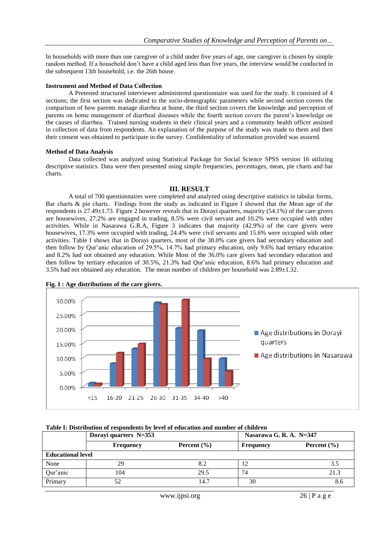In households with more than one caregiver of a child under five years of age, one caregiver is chosen by simple random method. If a household don't have a child aged less than five years, the interview would be conducted in the subsequent 13th household, i.e. the 26th house.

#### **Instrument and Method of Data Collection**

A Pretested structured interviewer administered questionnaire was used for the study. It consisted of 4 sections; the first section was dedicated to the socio-demographic parameters while second section covers the comparison of how parents manage diarrhea at home, the third section covers the knowledge and perception of parents on home management of diarrheal diseases while the fourth section covers the parent's knowledge on the causes of diarrhea. Trained nursing students in their clinical years and a community health officer assisted in collection of data from respondents. An explanation of the purpose of the study was made to them and then their consent was obtained to participate in the survey. Confidentiality of information provided was assured.

#### **Method of Data Analysis**

Data collected was analyzed using Statistical Package for Social Science SPSS version 16 utilizing descriptive statistics. Data were then presented using simple frequencies, percentages, mean, pie charts and bar charts.

## **III. RESULT**

A total of 700 questionnaires were completed and analyzed using descriptive statistics in tabular forms, Bar charts & pie charts. Findings from the study as indicated in Figure I showed that the Mean age of the respondents is 27.49±1.73. Figure 2 however reveals that in Dorayi quarters, majority (54.1%) of the care givers are housewives, 27.2% are engaged in trading, 8.5% were civil servant and 10.2% were occupied with other activities. While in Nasarawa G.R.A, Figure 3 indicates that majority (42.9%) of the care givers were housewives, 17.3% were occupied with trading, 24.4% were civil servants and 15.6% were occupied with other activities. Table I shows that in Dorayi quarters, most of the 38.0% care givers had secondary education and then follow by Qur'anic education of 29.5%, 14.7% had primary education, only 9.6% had tertiary education and 8.2% had not obtained any education. While Most of the 36.0% care givers had secondary education and then follow by tertiary education of 30.5%, 21.3% had Qur'anic education, 8.6% had primary education and 3.5% had not obtained any education. The mean number of children per household was 2.89±1.32.





# **Table I: Distribution of respondents by level of education and number of children**

|                          | Dorayi quarters N=353               |      | Nasarawa G. R. A. $N=347$ |                 |  |  |  |
|--------------------------|-------------------------------------|------|---------------------------|-----------------|--|--|--|
|                          | Percent $(\% )$<br><b>Frequency</b> |      | <b>Frequency</b>          | Percent $(\% )$ |  |  |  |
| <b>Educational level</b> |                                     |      |                           |                 |  |  |  |
| None                     | 29                                  | 8.2  |                           | 3.5             |  |  |  |
| Qur'anic                 | 104                                 | 29.5 | 74                        | 21.3            |  |  |  |
| Primary                  |                                     | 14.7 | 30                        |                 |  |  |  |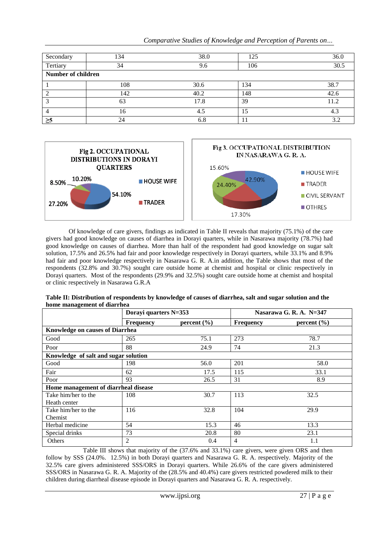| Secondary                 | 134 | 38.0 | 125 | 36.0 |  |  |  |  |
|---------------------------|-----|------|-----|------|--|--|--|--|
| Tertiary                  | 34  | 9.6  | 106 | 30.5 |  |  |  |  |
| <b>Number of children</b> |     |      |     |      |  |  |  |  |
|                           | 108 | 30.6 | 134 | 38.7 |  |  |  |  |
|                           | 142 | 40.2 | 148 | 42.6 |  |  |  |  |
|                           | 63  | 17.8 | 39  | 11.2 |  |  |  |  |
|                           | 16  | 4.5  | 15  | 4.3  |  |  |  |  |
| $\geq 5$                  | 24  | 6.8  | 1 I | 3.2  |  |  |  |  |

*Comparative Studies of Knowledge and Perception of Parents on…*



Of knowledge of care givers, findings as indicated in Table II reveals that majority (75.1%) of the care givers had good knowledge on causes of diarrhea in Dorayi quarters, while in Nasarawa majority (78.7%) had good knowledge on causes of diarrhea. More than half of the respondent had good knowledge on sugar salt solution, 17.5% and 26.5% had fair and poor knowledge respectively in Dorayi quarters, while 33.1% and 8.9% had fair and poor knowledge respectively in Nasarawa G. R. A.in addition, the Table shows that most of the respondents (32.8% and 30.7%) sought care outside home at chemist and hospital or clinic respectively in Dorayi quarters. Most of the respondents (29.9% and 32.5%) sought care outside home at chemist and hospital or clinic respectively in Nasarawa G.R.A

| o                                      | Dorayi quarters N=353 |                 | Nasarawa G. R. A. N=347 |                 |  |
|----------------------------------------|-----------------------|-----------------|-------------------------|-----------------|--|
|                                        | <b>Frequency</b>      | percent $(\% )$ | Frequency               | percent $(\% )$ |  |
| <b>Knowledge on causes of Diarrhea</b> |                       |                 |                         |                 |  |
| Good                                   | 265                   | 75.1            | 273                     | 78.7            |  |
| Poor                                   | 88                    | 24.9            | 74                      | 21.3            |  |
| Knowledge of salt and sugar solution   |                       |                 |                         |                 |  |
| Good                                   | 198                   | 56.0            | 201                     | 58.0            |  |
| Fair                                   | 62                    | 17.5            | 115                     | 33.1            |  |
| Poor                                   | 93                    | 26.5            | 31                      | 8.9             |  |
| Home management of diarrheal disease   |                       |                 |                         |                 |  |
| Take him/her to the                    | 108                   | 30.7            | 113                     | 32.5            |  |
| Heath center                           |                       |                 |                         |                 |  |
| Take him/her to the                    | 116                   |                 | 104                     | 29.9            |  |
| Chemist                                |                       |                 |                         |                 |  |
| Herbal medicine                        | 54                    | 15.3            | 46                      | 13.3            |  |
| Special drinks                         | 73                    | 20.8            | 80                      | 23.1            |  |
| Others                                 | 2                     | 0.4             | $\overline{4}$          | 1.1             |  |

**Table II: Distribution of respondents by knowledge of causes of diarrhea, salt and sugar solution and the home management of diarrhea**

Table III shows that majority of the (37.6% and 33.1%) care givers, were given ORS and then follow by SSS (24.0%. 12.5%) in both Dorayi quarters and Nasarawa G. R. A. respectively. Majority of the 32.5% care givers administered SSS/ORS in Dorayi quarters. While 26.6% of the care givers administered SSS/ORS in Nasarawa G. R. A. Majority of the (28.5% and 40.4%) care givers restricted powdered milk to their children during diarrheal disease episode in Dorayi quarters and Nasarawa G. R. A. respectively.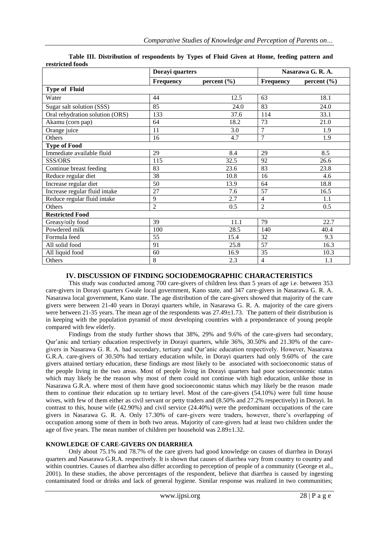|                                 | Dorayi quarters |                 | Nasarawa G. R. A. |                 |  |  |
|---------------------------------|-----------------|-----------------|-------------------|-----------------|--|--|
|                                 | Frequency       | percent $(\% )$ | Frequency         | percent $(\% )$ |  |  |
| <b>Type of Fluid</b>            |                 |                 |                   |                 |  |  |
| Water                           | 44              | 12.5            | 63                | 18.1            |  |  |
| Sugar salt solution (SSS)       | 85              | 24.0            | 83                | 24.0            |  |  |
| Oral rehydration solution (ORS) | 133             | 37.6            | 114               | 33.1            |  |  |
| Akamu (corn pap)                | 64              | 18.2            | 73                | 21.0            |  |  |
| Orange juice                    | 11              | 3.0             | $\overline{7}$    | 1.9             |  |  |
| Others                          | 16              | 4.7             | $\overline{7}$    | 1.9             |  |  |
| <b>Type of Food</b>             |                 |                 |                   |                 |  |  |
| Immediate available fluid       | 29              | 8.4             | 29                | 8.5             |  |  |
| SSS/ORS                         | 115             | 32.5            | 92                | 26.6            |  |  |
| Continue breast feeding         | 83              | 23.6            | 83                | 23.8            |  |  |
| Reduce regular diet             | 38              | 10.8            | 16                | 4.6             |  |  |
| Increase regular diet           | 50              | 13.9            | 64                | 18.8            |  |  |
| Increase regular fluid intake   | 27              | 7.6             | 57                | 16.5            |  |  |
| Reduce regular fluid intake     | 9               | 2.7             | $\overline{4}$    | 1.1             |  |  |
| Others                          | $\overline{2}$  | 0.5             | $\overline{2}$    | 0.5             |  |  |
| <b>Restricted Food</b>          |                 |                 |                   |                 |  |  |
| Greasy/oily food                | 39              | 11.1            | 79                | 22.7            |  |  |
| Powdered milk                   | 100             | 28.5            | 140               | 40.4            |  |  |
| Formula feed                    | 55              | 15.4            | 32                | 9.3             |  |  |
| All solid food                  | 91              | 25.8            | 57                | 16.3            |  |  |
| All liquid food                 | 60              | 16.9            | 35                | 10.3            |  |  |
| Others                          | 8               | 2.3             | $\overline{4}$    | 1.1             |  |  |

|                  | Table III. Distribution of respondents by Types of Fluid Given at Home, feeding pattern and |  |  |  |  |  |
|------------------|---------------------------------------------------------------------------------------------|--|--|--|--|--|
| restricted foods |                                                                                             |  |  |  |  |  |

# **IV. DISCUSSION OF FINDING SOCIODEMOGRAPHIC CHARACTERISTICS**

This study was conducted among 700 care-givers of children less than 5 years of age i.e. between 353 care-givers in Dorayi quarters Gwale local government, Kano state, and 347 care-givers in Nasarawa G. R. A. Nasarawa local government, Kano state. The age distribution of the care-givers showed that majority of the care givers were between 21-40 years in Dorayi quarters while, in Nasarawa G. R. A. majority of the care givers were between 21-35 years. The mean age of the respondents was 27.49±1.73. The pattern of their distribution is in keeping with the population pyramid of most developing countries with a preponderance of young people compared with few elderly.

Findings from the study further shows that 38%, 29% and 9.6% of the care-givers had secondary, Qur'anic and tertiary education respectively in Dorayi quarters, while 36%, 30.50% and 21.30% of the caregivers in Nasarawa G. R. A. had secondary, tertiary and Qur'anic education respectively. However, Nasarawa G.R.A. care-givers of 30.50% had tertiary education while, in Dorayi quarters had only 9.60% of the care givers attained tertiary education, these findings are most likely to be associated with socioeconomic status of the people living in the two areas. Most of people living in Dorayi quarters had poor socioeconomic status which may likely be the reason why most of them could not continue with high education, unlike those in Nasarawa G.R.A. where most of them have good socioeconomic status which may likely be the reason made them to continue their education up to tertiary level. Most of the care-givers (54.10%) were full time house wives, with few of them either as civil servant or petty traders and  $(8.50\%$  and  $27.2\%$  respectively) in Dorayi. In contrast to this, house wife (42.90%) and civil service (24.40%) were the predominant occupations of the care givers in Nasarawa G. R. A. Only 17.30% of care-givers were traders, however, there's overlapping of occupation among some of them in both two areas. Majority of care-givers had at least two children under the age of five years. The mean number of children per household was 2.89±1.32.

# **KNOWLEDGE OF CARE-GIVERS ON DIARRHEA**

Only about 75.1% and 78.7% of the care givers had good knowledge on causes of diarrhea in Dorayi quarters and Nasarawa G.R.A. respectively. It is shown that causes of diarrhea vary from country to country and within countries. Causes of diarrhea also differ according to perception of people of a community (George et al., 2001). In these studies, the above percentages of the respondent, believe that diarrhea is caused by ingesting contaminated food or drinks and lack of general hygiene. Similar response was realized in two communities;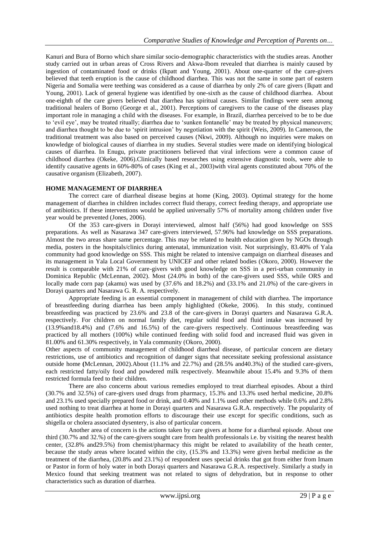Kanuri and Bura of Borno which share similar socio-demographic characteristics with the studies areas. Another study carried out in urban areas of Cross Rivers and Akwa-Ibom revealed that diarrhea is mainly caused by ingestion of contaminated food or drinks (Ikpatt and Young, 2001). About one-quarter of the care-givers believed that teeth eruption is the cause of childhood diarrhea. This was not the same in some part of eastern Nigeria and Somalia were teething was considered as a cause of diarrhea by only 2% of care givers (Ikpatt and Young, 2001). Lack of general hygiene was identified by one-sixth as the cause of childhood diarrhea. About one-eighth of the care givers believed that diarrhea has spiritual causes. Similar findings were seen among traditional healers of Borno (George et al., 2001). Perceptions of caregivers to the cause of the diseases play important role in managing a child with the diseases. For example, in Brazil, diarrhea perceived to be to be due to 'evil eye', may be treated ritually; diarrhea due to 'sunken fontanelle' may be treated by physical maneuvers; and diarrhea thought to be due to 'spirit intrusion' by negotiation with the spirit (Weis, 2009). In Cameroon, the traditional treatment was also based on perceived causes (Nkwi, 2009). Although no inquiries were makes on knowledge of biological causes of diarrhea in my studies. Several studies were made on identifying biological causes of diarrhea. In Enugu, private practitioners believed that viral infections were a common cause of childhood diarrhea (Okeke, 2006).Clinically based researches using extensive diagnostic tools, were able to identify causative agents in 60%-80% of cases (King et al., 2003)with viral agents constituted about 70% of the causative organism (Elizabeth, 2007).

# **HOME MANAGEMENT OF DIARRHEA**

The correct care of diarrheal disease begins at home (King, 2003). Optimal strategy for the home management of diarrhea in children includes correct fluid therapy, correct feeding therapy, and appropriate use of antibiotics. If these interventions would be applied universally 57% of mortality among children under five year would be prevented (Jones, 2006).

Of the 353 care-givers in Dorayi interviewed, almost half (56%) had good knowledge on SSS preparations. As well as Nasarawa 347 care-givers interviewed, 57.96% had knowledge on SSS preparations. Almost the two areas share same percentage. This may be related to health education given by NGOs through media, posters in the hospitals/clinics during antenatal, immunization visit. Not surprisingly, 83.40% of Yala community had good knowledge on SSS. This might be related to intensive campaign on diarrheal diseases and its management in Yala Local Government by UNICEF and other related bodies (Okoro, 2000). However the result is comparable with 21% of care-givers with good knowledge on SSS in a peri-urban community in Dominica Republic (McLennan, 2002). Most (24.0% in both) of the care-givers used SSS, while ORS and locally made corn pap (akamu) was used by (37.6% and 18.2%) and (33.1% and 21.0%) of the care-givers in Dorayi quarters and Nasarawa G. R. A. respectively.

Appropriate feeding is an essential component in management of child with diarrhea. The importance of breastfeeding during diarrhea has been amply highlighted (Okeke, 2006). In this study, continued breastfeeding was practiced by 23.6% and 23.8 of the care-givers in Dorayi quarters and Nasarawa G.R.A. respectively. For children on normal family diet, regular solid food and fluid intake was increased by (13.9%and18.4%) and (7.6% and 16.5%) of the care-givers respectively. Continuous breastfeeding was practiced by all mothers (100%) while continued feeding with solid food and increased fluid was given in 81.00% and 61.30% respectively, in Yala community (Okoro, 2000).

Other aspects of community management of childhood diarrheal disease, of particular concern are dietary restrictions, use of antibiotics and recognition of danger signs that necessitate seeking professional assistance outside home **(**McLennan, 2002).About (11.1% and 22.7%) and (28.5% and40.3%) of the studied care-givers, each restricted fatty/oily food and powdered milk respectively. Meanwhile about 15.4% and 9.3% of them restricted formula feed to their children.

There are also concerns about various remedies employed to treat diarrheal episodes. About a third (30.7% and 32.5%) of care-givers used drugs from pharmacy, 15.3% and 13.3% used herbal medicine, 20.8% and 23.1% used specially prepared food or drink, and 0.40% and 1.1% used other methods while 0.6% and 2.8% used nothing to treat diarrhea at home in Dorayi quarters and Nasarawa G.R.A. respectively. The popularity of antibiotics despite health promotion efforts to discourage their use except for specific conditions, such as shigella or cholera associated dysentery, is also of particular concern.

Another area of concern is the actions taken by care givers at home for a diarrheal episode. About one third (30.7% and 32.%) of the care-givers sought care from health professionals i.e. by visiting the nearest health center, (32.8% and29.5%) from chemist/pharmacy this might be related to availability of the heath center, because the study areas where located within the city, (15.3% and 13.3%) were given herbal medicine as the treatment of the diarrhea, (20.8% and 23.1%) of respondent uses special drinks that got from either from Imam or Pastor in form of holy water in both Dorayi quarters and Nasarawa G.R.A. respectively. Similarly a study in Mexico found that seeking treatment was not related to signs of dehydration, but in response to other characteristics such as duration of diarrhea.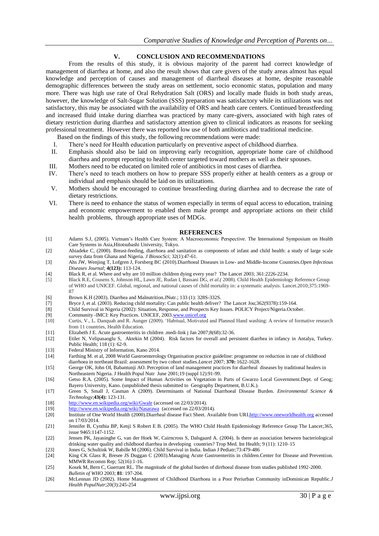# **V. CONCLUSION AND RECOMMENDATIONS**

From the results of this study, it is obvious majority of the parent had correct knowledge of management of diarrhea at home, and also the result shows that care givers of the study areas almost has equal knowledge and perception of causes and management of diarrheal diseases at home, despite reasonable demographic differences between the study areas on settlement, socio economic status, population and many more. There was high use rate of Oral Rehydration Salt (ORS) and locally made fluids in both study areas, however, the knowledge of Salt-Sugar Solution (SSS) preparation was satisfactory while its utilizations was not satisfactory, this may be associated with the availability of ORS and heath care centers. Continued breastfeeding and increased fluid intake during diarrhea was practiced by many care-givers, associated with high rates of dietary restriction during diarrhea and satisfactory attention given to clinical indicators as reasons for seeking professional treatment. However there was reported low use of both antibiotics and traditional medicine.

Based on the findings of this study, the following recommendations were made:

- I. There's need for Health education particularly on preventive aspect of childhood diarrhea.
- II. Emphasis should also be laid on improving early recognition, appropriate home care of childhood diarrhea and prompt reporting to health center targeted toward mothers as well as their spouses.
- III. Mothers need to be educated on limited role of antibiotics in most cases of diarrhea.
- IV. There's need to teach mothers on how to prepare SSS properly either at health centers as a group or individual and emphasis should be laid on its utilizations.
- V. Mothers should be encouraged to continue breastfeeding during diarrhea and to decrease the rate of dietary restrictions.
- VI. There is need to enhance the status of women especially in terms of equal access to education, training and economic empowerment to enabled them make prompt and appropriate actions on their child health problems, through appropriate uses of MDGs.

#### **REFERENCES**

- [1] Adams S.J, (2005). Vietnam's Health Care System: A Macroeconomic Perspective. The International Symposium on Health Care Systems in Asia,Hitotsubashi University, Tokyo.
- [2] Ahiadeke C, (2000). Breast-feeding, diarrhoea and sanitation as components of infant and child health: a study of large scale survey data from Ghana and Nigeria. *J BiosocSci*; 32(1):47-61.
- [3] Ahs JW, Wenjing T, Lofgren J, Forsberg BC (2010).Diarrhoeal Diseases in Low- and Middle-Income Countries.*Open Infectious Diseases Journal*; **4(123):** 113-124.
- [4] Black R, et al. Where and why are 10 million children dying every year? The Lancet 2003; 361:2226-2234.
- [5] Black R.E, Cousens S, Johnson HL, Lawn JE, Rudan I, Bassani DG, *et al.(* 2008). Child Health Epidemiology Reference Group of WHO and UNICEF. Global, regional, and national causes of child mortality in: a systematic analysis. Lancet.2010;375:1969- 87
- [6] Brown K.H (2003). Diarrhea and Malnutrition. JNutr.; 133 (1): 328S-332S.<br>[7] Bryce J, et al. (2003). Reducing child mortality: Can public health deliver?
- [7] Bryce J, et al. (2003). Reducing child mortality: Can public health deliver? The Lancet Jou;362(9378):159-164.<br>[8] Child Survival in Nigeria (2002): Situation, Response, and Prospects Key Issues. POLICY Project/Nigeria
- [8] Child Survival in Nigeria (2002): Situation, Response, and Prospects Key Issues. POLICY Project/Nigeria.October.
- [9] Community -IMCI: Key Practices. UNICEF, 2003[.www.unicef.org](http://www.unicef.org/)
- [10] Curtis, V., L. Danquah and R. Aunger (2009). 'Habitual, Motivated and Planned Hand washing: A review of formative research from 11 countries, Health Education.
- [11] Elizabeth J E. Acute gastroenteritis in children .medi-link j Jan 2007;8(68):32-36.
- [12] Etiler N, Velipasaoglu S, Aktekin M (2004). Risk factors for overall and persistent diarrhea in infancy in Antalya, Turkey. Public Health; 118 (1): 62-9.
- [13] Federal Ministry of Information, Kano 2014.
- [14] Farthing M. et al, 2008 World Gastroenterology Organisation practice guideline: programme on reduction in rate of childhood diarrhoea in northeast Brazil: assessment by two cohort studies.*Lancet* 2007; **370:** 1622-1628.
- [15] George OK, John OI, Babantunji AO. Perception of land management practices for diarrheal diseases by traditional healers in Northeastern Nigeria. J Health Popul Nutr June 2001;19 (suppl 12):91-99.
- [16] Getso R.A. (2005). Some Impact of Human Activities on Vegetation in Parts of Gwarzo Local Government.Dept. of Geog; Bayero University, Kano. (unpublished thesis submitted to Geography Department, B.U.K.).
- [17] Green S, Small J, Casman A (2009). Determinants of National Diarrhoeal Disease Burden. *Environmental Science & Technology*;**43(4):** 123-131.
- [18] <http://www.en.wikipedia.org/wiki/Gwale> (accessed on 22/03/2014).
- [19] <http://www.en.wikipedia.org/wiki/Nasarawa>(accessed on 22/03/2014).<br>[20] http://www.en.wikipedia.org/wiki/Nasarawa (accessed on 22/03/2014).
- [20] Institute of One World Health (2000).Diarrheal disease Fact Sheet. Available from UR[Lhttp://www.oneworldhealth.org](http://www.oneworldhealth.org/) accessed on 17/03/2014.
- [21] Jennifer B, Cynthia BP, Kenji S Robert E B. (2005). The WHO Child Health Epidemiology Reference Group The Lancet;365, issue 9465:1147-1152.
- [22] Jensen PK, Jayasinghe G, van der Hoek W, Cairncross S, Dalsgaard A. (2004). Is there an association between bacteriological drinking water quality and childhood diarrhea in developing countries? Trop Med. Int Health; 9 (11): 1210–15
- [23] Jones G, Schultink W, Babille M (2006). Child Survival in India. Indian J Pediatr;73:479-486
- King CK Glass R, Bresee JS Duggan C (2003).Managing Acute Gastroenteritis in children.Center for Disease and Prevention. MMWR Recomm Rep; 52(16):1-16.
- [25] Kosek M, Bern C, Guerrant RL. The magnitude of the global burden of dirrhoeal disease from studies published 1992-2000. *Bulletin of WHO* 2003; **81**: 197-204.
- [26] McLennan JD (2002). Home Management of Childhood Diarrhoea in a Poor Periurban Community inDominican Republic.*J Health PopulNutr*;20(3):245-254